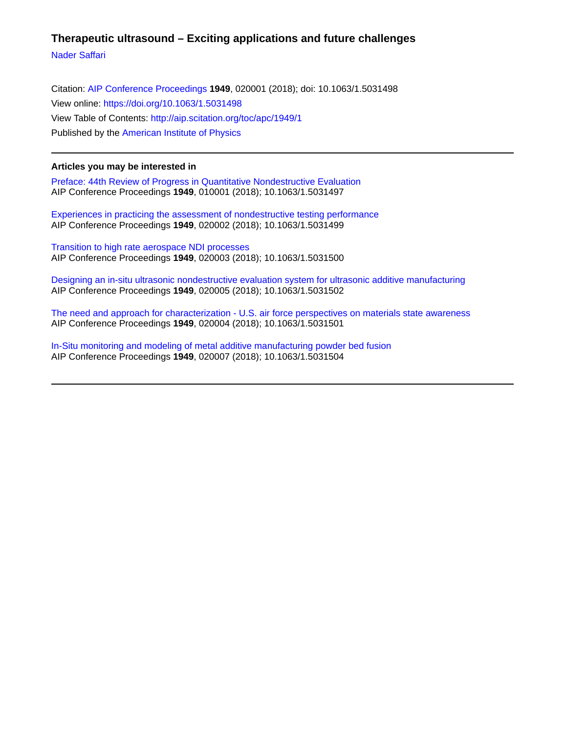# **Therapeutic ultrasound – Exciting applications and future challenges**

[Nader Saffari](http://aip.scitation.org/author/Saffari%2C+Nader)

Citation: [AIP Conference Proceedings](/loi/apc) **1949**, 020001 (2018); doi: 10.1063/1.5031498 View online: <https://doi.org/10.1063/1.5031498> View Table of Contents: <http://aip.scitation.org/toc/apc/1949/1> Published by the [American Institute of Physics](http://aip.scitation.org/publisher/)

### **Articles you may be interested in**

[Preface: 44th Review of Progress in Quantitative Nondestructive Evaluation](http://aip.scitation.org/doi/abs/10.1063/1.5031497) AIP Conference Proceedings **1949**, 010001 (2018); 10.1063/1.5031497

[Experiences in practicing the assessment of nondestructive testing performance](http://aip.scitation.org/doi/abs/10.1063/1.5031499) AIP Conference Proceedings **1949**, 020002 (2018); 10.1063/1.5031499

[Transition to high rate aerospace NDI processes](http://aip.scitation.org/doi/abs/10.1063/1.5031500) AIP Conference Proceedings **1949**, 020003 (2018); 10.1063/1.5031500

[Designing an in-situ ultrasonic nondestructive evaluation system for ultrasonic additive manufacturing](http://aip.scitation.org/doi/abs/10.1063/1.5031502) AIP Conference Proceedings **1949**, 020005 (2018); 10.1063/1.5031502

[The need and approach for characterization - U.S. air force perspectives on materials state awareness](http://aip.scitation.org/doi/abs/10.1063/1.5031501) AIP Conference Proceedings **1949**, 020004 (2018); 10.1063/1.5031501

[In-Situ monitoring and modeling of metal additive manufacturing powder bed fusion](http://aip.scitation.org/doi/abs/10.1063/1.5031504) AIP Conference Proceedings **1949**, 020007 (2018); 10.1063/1.5031504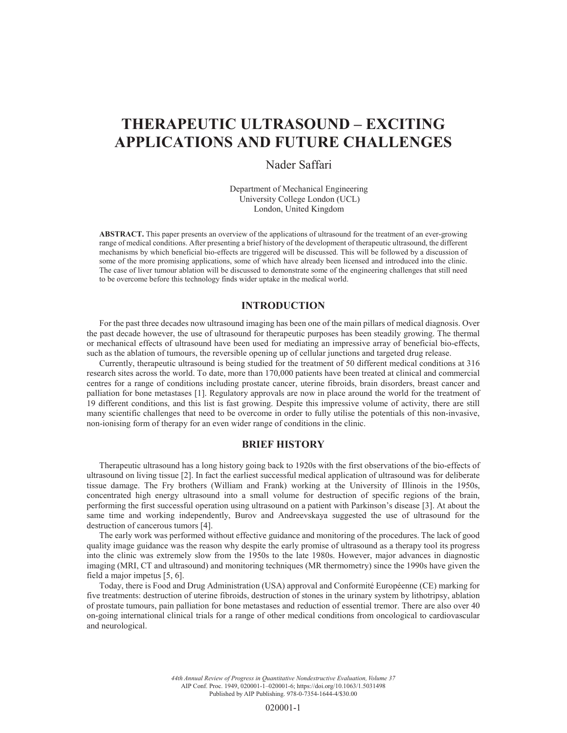# **THERAPEUTIC ULTRASOUND – EXCITING APPLICATIONS AND FUTURE CHALLENGES**

# Nader Saffari

Department of Mechanical Engineering University College London (UCL) London, United Kingdom

**ABSTRACT.** This paper presents an overview of the applications of ultrasound for the treatment of an ever-growing range of medical conditions. After presenting a brief history of the development of therapeutic ultrasound, the different mechanisms by which beneficial bio-effects are triggered will be discussed. This will be followed by a discussion of some of the more promising applications, some of which have already been licensed and introduced into the clinic. The case of liver tumour ablation will be discussed to demonstrate some of the engineering challenges that still need to be overcome before this technology finds wider uptake in the medical world.

# **INTRODUCTION**

For the past three decades now ultrasound imaging has been one of the main pillars of medical diagnosis. Over the past decade however, the use of ultrasound for therapeutic purposes has been steadily growing. The thermal or mechanical effects of ultrasound have been used for mediating an impressive array of beneficial bio-effects, such as the ablation of tumours, the reversible opening up of cellular junctions and targeted drug release.

Currently, therapeutic ultrasound is being studied for the treatment of 50 different medical conditions at 316 research sites across the world. To date, more than 170,000 patients have been treated at clinical and commercial centres for a range of conditions including prostate cancer, uterine fibroids, brain disorders, breast cancer and palliation for bone metastases [1]. Regulatory approvals are now in place around the world for the treatment of 19 different conditions, and this list is fast growing. Despite this impressive volume of activity, there are still many scientific challenges that need to be overcome in order to fully utilise the potentials of this non-invasive, non-ionising form of therapy for an even wider range of conditions in the clinic.

#### **BRIEF HISTORY**

Therapeutic ultrasound has a long history going back to 1920s with the first observations of the bio-effects of ultrasound on living tissue [2]. In fact the earliest successful medical application of ultrasound was for deliberate tissue damage. The Fry brothers (William and Frank) working at the University of Illinois in the 1950s, concentrated high energy ultrasound into a small volume for destruction of specific regions of the brain, performing the first successful operation using ultrasound on a patient with Parkinson's disease [3]. At about the same time and working independently, Burov and Andreevskaya suggested the use of ultrasound for the destruction of cancerous tumors [4].

The early work was performed without effective guidance and monitoring of the procedures. The lack of good quality image guidance was the reason why despite the early promise of ultrasound as a therapy tool its progress into the clinic was extremely slow from the 1950s to the late 1980s. However, major advances in diagnostic imaging (MRI, CT and ultrasound) and monitoring techniques (MR thermometry) since the 1990s have given the field a major impetus [5, 6].

Today, there is Food and Drug Administration (USA) approval and Conformité Européenne (CE) marking for five treatments: destruction of uterine fibroids, destruction of stones in the urinary system by lithotripsy, ablation of prostate tumours, pain palliation for bone metastases and reduction of essential tremor. There are also over 40 on-going international clinical trials for a range of other medical conditions from oncological to cardiovascular and neurological.

> *44th Annual Review of Progress in Quantitative Nondestructive Evaluation, Volume 37* AIP Conf. Proc. 1949, 020001-1–020001-6; https://doi.org/10.1063/1.5031498 Published by AIP Publishing. 978-0-7354-1644-4/\$30.00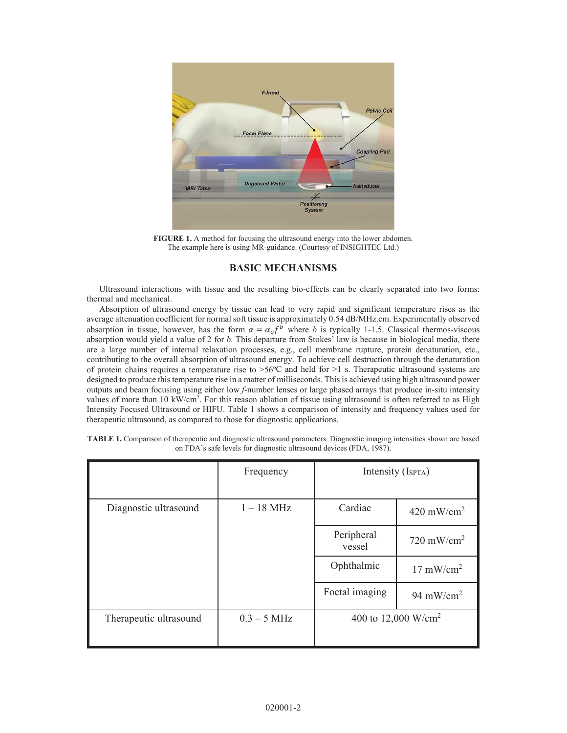

**FIGURE 1.** A method for focusing the ultrasound energy into the lower abdomen. The example here is using MR-guidance. (Courtesy of INSIGHTEC Ltd.)

#### **BASIC MECHANISMS**

Ultrasound interactions with tissue and the resulting bio-effects can be clearly separated into two forms: thermal and mechanical.

Absorption of ultrasound energy by tissue can lead to very rapid and significant temperature rises as the average attenuation coefficient for normal soft tissue is approximately 0.54 dB/MHz.cm. Experimentally observed absorption in tissue, however, has the form  $\alpha = \alpha_0 f^b$  where *b* is typically 1-1.5. Classical thermos-viscous absorption would yield a value of 2 for *b.* This departure from Stokes' law is because in biological media, there are a large number of internal relaxation processes, e.g., cell membrane rupture, protein denaturation, etc., contributing to the overall absorption of ultrasound energy. To achieve cell destruction through the denaturation of protein chains requires a temperature rise to  $>56^{\circ}$ C and held for  $>1$  s. Therapeutic ultrasound systems are designed to produce this temperature rise in a matter of milliseconds. This is achieved using high ultrasound power outputs and beam focusing using either low *f*-number lenses or large phased arrays that produce in-situ intensity values of more than 10 kW/cm<sup>2</sup>. For this reason ablation of tissue using ultrasound is often referred to as High Intensity Focused Ultrasound or HIFU. Table 1 shows a comparison of intensity and frequency values used for therapeutic ultrasound, as compared to those for diagnostic applications.

|                        | Frequency     | Intensity (Isp <sub>TA</sub> )  |                       |
|------------------------|---------------|---------------------------------|-----------------------|
| Diagnostic ultrasound  | $1 - 18$ MHz  | Cardiac                         | $420 \text{ mW/cm}^2$ |
|                        |               | Peripheral<br>vessel            | $720 \text{ mW/cm}^2$ |
|                        |               | Ophthalmic                      | $17 \text{ mW/cm}^2$  |
|                        |               | Foetal imaging                  | 94 mW/cm <sup>2</sup> |
| Therapeutic ultrasound | $0.3 - 5$ MHz | 400 to 12,000 W/cm <sup>2</sup> |                       |

**TABLE 1.** Comparison of therapeutic and diagnostic ultrasound parameters. Diagnostic imaging intensities shown are based on FDA's safe levels for diagnostic ultrasound devices (FDA, 1987).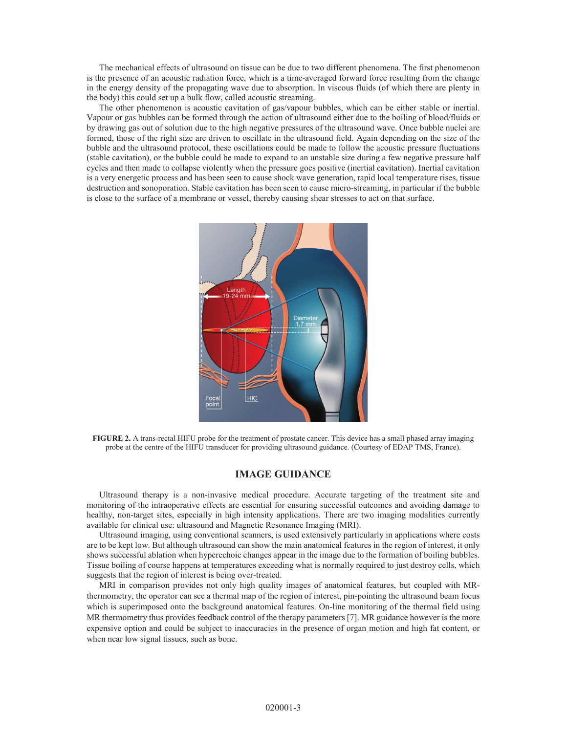The mechanical effects of ultrasound on tissue can be due to two different phenomena. The first phenomenon is the presence of an acoustic radiation force, which is a time-averaged forward force resulting from the change in the energy density of the propagating wave due to absorption. In viscous fluids (of which there are plenty in the body) this could set up a bulk flow, called acoustic streaming.

The other phenomenon is acoustic cavitation of gas/vapour bubbles, which can be either stable or inertial. Vapour or gas bubbles can be formed through the action of ultrasound either due to the boiling of blood/fluids or by drawing gas out of solution due to the high negative pressures of the ultrasound wave. Once bubble nuclei are formed, those of the right size are driven to oscillate in the ultrasound field. Again depending on the size of the bubble and the ultrasound protocol, these oscillations could be made to follow the acoustic pressure fluctuations (stable cavitation), or the bubble could be made to expand to an unstable size during a few negative pressure half cycles and then made to collapse violently when the pressure goes positive (inertial cavitation). Inertial cavitation is a very energetic process and has been seen to cause shock wave generation, rapid local temperature rises, tissue destruction and sonoporation. Stable cavitation has been seen to cause micro-streaming, in particular if the bubble is close to the surface of a membrane or vessel, thereby causing shear stresses to act on that surface.



**FIGURE 2.** A trans-rectal HIFU probe for the treatment of prostate cancer. This device has a small phased array imaging probe at the centre of the HIFU transducer for providing ultrasound guidance. (Courtesy of EDAP TMS, France).

#### **IMAGE GUIDANCE**

Ultrasound therapy is a non-invasive medical procedure. Accurate targeting of the treatment site and monitoring of the intraoperative effects are essential for ensuring successful outcomes and avoiding damage to healthy, non-target sites, especially in high intensity applications. There are two imaging modalities currently available for clinical use: ultrasound and Magnetic Resonance Imaging (MRI).

Ultrasound imaging, using conventional scanners, is used extensively particularly in applications where costs are to be kept low. But although ultrasound can show the main anatomical features in the region of interest, it only shows successful ablation when hyperechoic changes appear in the image due to the formation of boiling bubbles. Tissue boiling of course happens at temperatures exceeding what is normally required to just destroy cells, which suggests that the region of interest is being over-treated.

MRI in comparison provides not only high quality images of anatomical features, but coupled with MRthermometry, the operator can see a thermal map of the region of interest, pin-pointing the ultrasound beam focus which is superimposed onto the background anatomical features. On-line monitoring of the thermal field using MR thermometry thus provides feedback control of the therapy parameters [7]. MR guidance however is the more expensive option and could be subject to inaccuracies in the presence of organ motion and high fat content, or when near low signal tissues, such as bone.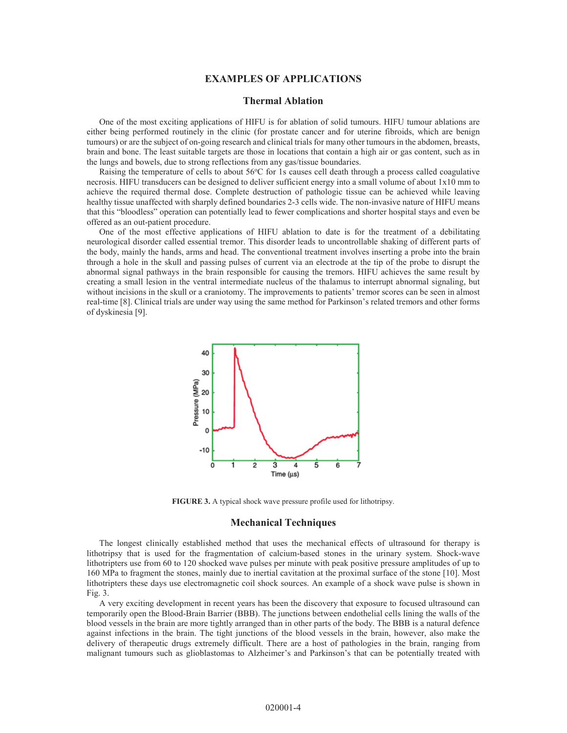#### **EXAMPLES OF APPLICATIONS**

#### **Thermal Ablation**

One of the most exciting applications of HIFU is for ablation of solid tumours. HIFU tumour ablations are either being performed routinely in the clinic (for prostate cancer and for uterine fibroids, which are benign tumours) or are the subject of on-going research and clinical trials for many other tumours in the abdomen, breasts, brain and bone. The least suitable targets are those in locations that contain a high air or gas content, such as in the lungs and bowels, due to strong reflections from any gas/tissue boundaries.

Raising the temperature of cells to about 56°C for 1s causes cell death through a process called coagulative necrosis. HIFU transducers can be designed to deliver sufficient energy into a small volume of about 1x10 mm to achieve the required thermal dose. Complete destruction of pathologic tissue can be achieved while leaving healthy tissue unaffected with sharply defined boundaries 2-3 cells wide. The non-invasive nature of HIFU means that this "bloodless" operation can potentially lead to fewer complications and shorter hospital stays and even be offered as an out-patient procedure.

One of the most effective applications of HIFU ablation to date is for the treatment of a debilitating neurological disorder called essential tremor. This disorder leads to uncontrollable shaking of different parts of the body, mainly the hands, arms and head. The conventional treatment involves inserting a probe into the brain through a hole in the skull and passing pulses of current via an electrode at the tip of the probe to disrupt the abnormal signal pathways in the brain responsible for causing the tremors. HIFU achieves the same result by creating a small lesion in the ventral intermediate nucleus of the thalamus to interrupt abnormal signaling, but without incisions in the skull or a craniotomy. The improvements to patients' tremor scores can be seen in almost real-time [8]. Clinical trials are under way using the same method for Parkinson's related tremors and other forms of dyskinesia [9].



**FIGURE 3.** A typical shock wave pressure profile used for lithotripsy.

#### **Mechanical Techniques**

The longest clinically established method that uses the mechanical effects of ultrasound for therapy is lithotripsy that is used for the fragmentation of calcium-based stones in the urinary system. Shock-wave lithotripters use from 60 to 120 shocked wave pulses per minute with peak positive pressure amplitudes of up to 160 MPa to fragment the stones, mainly due to inertial cavitation at the proximal surface of the stone [10]. Most lithotripters these days use electromagnetic coil shock sources. An example of a shock wave pulse is shown in Fig. 3.

A very exciting development in recent years has been the discovery that exposure to focused ultrasound can temporarily open the Blood-Brain Barrier (BBB). The junctions between endothelial cells lining the walls of the blood vessels in the brain are more tightly arranged than in other parts of the body. The BBB is a natural defence against infections in the brain. The tight junctions of the blood vessels in the brain, however, also make the delivery of therapeutic drugs extremely difficult. There are a host of pathologies in the brain, ranging from malignant tumours such as glioblastomas to Alzheimer's and Parkinson's that can be potentially treated with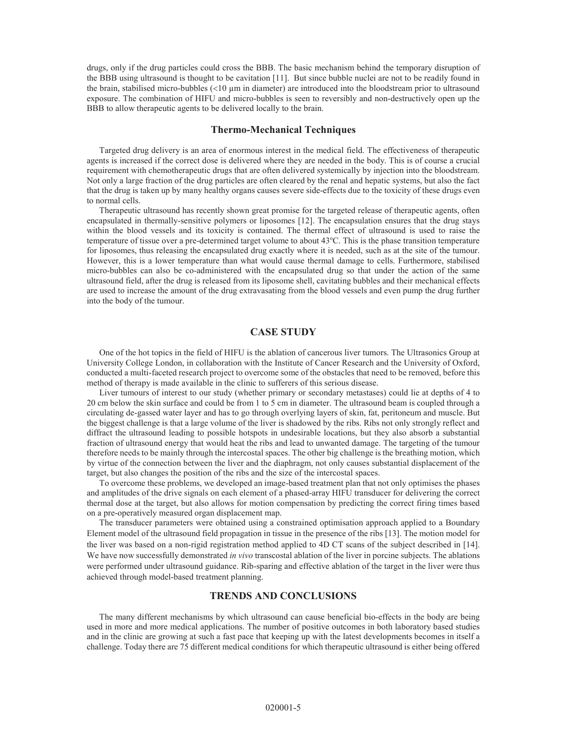drugs, only if the drug particles could cross the BBB. The basic mechanism behind the temporary disruption of the BBB using ultrasound is thought to be cavitation [11]. But since bubble nuclei are not to be readily found in the brain, stabilised micro-bubbles  $(< 10 \mu m$  in diameter) are introduced into the bloodstream prior to ultrasound exposure. The combination of HIFU and micro-bubbles is seen to reversibly and non-destructively open up the BBB to allow therapeutic agents to be delivered locally to the brain.

## **Thermo-Mechanical Techniques**

Targeted drug delivery is an area of enormous interest in the medical field. The effectiveness of therapeutic agents is increased if the correct dose is delivered where they are needed in the body. This is of course a crucial requirement with chemotherapeutic drugs that are often delivered systemically by injection into the bloodstream. Not only a large fraction of the drug particles are often cleared by the renal and hepatic systems, but also the fact that the drug is taken up by many healthy organs causes severe side-effects due to the toxicity of these drugs even to normal cells.

Therapeutic ultrasound has recently shown great promise for the targeted release of therapeutic agents, often encapsulated in thermally-sensitive polymers or liposomes [12]. The encapsulation ensures that the drug stays within the blood vessels and its toxicity is contained. The thermal effect of ultrasound is used to raise the temperature of tissue over a pre-determined target volume to about 43°C. This is the phase transition temperature for liposomes, thus releasing the encapsulated drug exactly where it is needed, such as at the site of the tumour. However, this is a lower temperature than what would cause thermal damage to cells. Furthermore, stabilised micro-bubbles can also be co-administered with the encapsulated drug so that under the action of the same ultrasound field, after the drug is released from its liposome shell, cavitating bubbles and their mechanical effects are used to increase the amount of the drug extravasating from the blood vessels and even pump the drug further into the body of the tumour.

#### **CASE STUDY**

One of the hot topics in the field of HIFU is the ablation of cancerous liver tumors. The Ultrasonics Group at University College London, in collaboration with the Institute of Cancer Research and the University of Oxford, conducted a multi-faceted research project to overcome some of the obstacles that need to be removed, before this method of therapy is made available in the clinic to sufferers of this serious disease.

Liver tumours of interest to our study (whether primary or secondary metastases) could lie at depths of 4 to 20 cm below the skin surface and could be from 1 to 5 cm in diameter. The ultrasound beam is coupled through a circulating de-gassed water layer and has to go through overlying layers of skin, fat, peritoneum and muscle. But the biggest challenge is that a large volume of the liver is shadowed by the ribs. Ribs not only strongly reflect and diffract the ultrasound leading to possible hotspots in undesirable locations, but they also absorb a substantial fraction of ultrasound energy that would heat the ribs and lead to unwanted damage. The targeting of the tumour therefore needs to be mainly through the intercostal spaces. The other big challenge is the breathing motion, which by virtue of the connection between the liver and the diaphragm, not only causes substantial displacement of the target, but also changes the position of the ribs and the size of the intercostal spaces.

To overcome these problems, we developed an image-based treatment plan that not only optimises the phases and amplitudes of the drive signals on each element of a phased-array HIFU transducer for delivering the correct thermal dose at the target, but also allows for motion compensation by predicting the correct firing times based on a pre-operatively measured organ displacement map.

The transducer parameters were obtained using a constrained optimisation approach applied to a Boundary Element model of the ultrasound field propagation in tissue in the presence of the ribs [13]. The motion model for the liver was based on a non-rigid registration method applied to 4D CT scans of the subject described in [14]. We have now successfully demonstrated *in vivo* transcostal ablation of the liver in porcine subjects. The ablations were performed under ultrasound guidance. Rib-sparing and effective ablation of the target in the liver were thus achieved through model-based treatment planning.

#### **TRENDS AND CONCLUSIONS**

The many different mechanisms by which ultrasound can cause beneficial bio-effects in the body are being used in more and more medical applications. The number of positive outcomes in both laboratory based studies and in the clinic are growing at such a fast pace that keeping up with the latest developments becomes in itself a challenge. Today there are 75 different medical conditions for which therapeutic ultrasound is either being offered